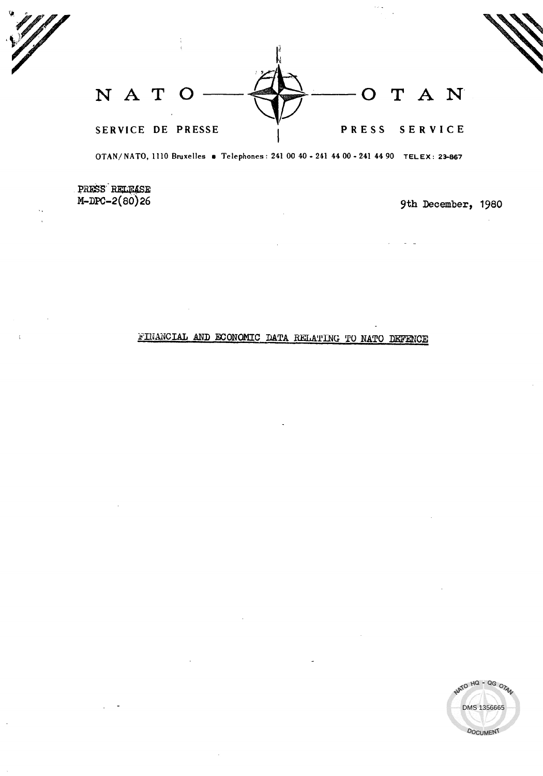$N$  A T O  $\longrightarrow$   $\iff$   $\longrightarrow$  O T A N SERVICE DE PRESSE I PRESS SERVICE

OTAN/ NATO, 1110 Bruxelles · Telephones: 241 00 40 - 241 44 00 - 241 44 90 TELEX: 23-867

PRESS RELEASE<br>M-DPC-2(80)26

9th December, 1980

# FINANCIAL AND ECONOMIC DATA RELATING TO NATO DEFENCE

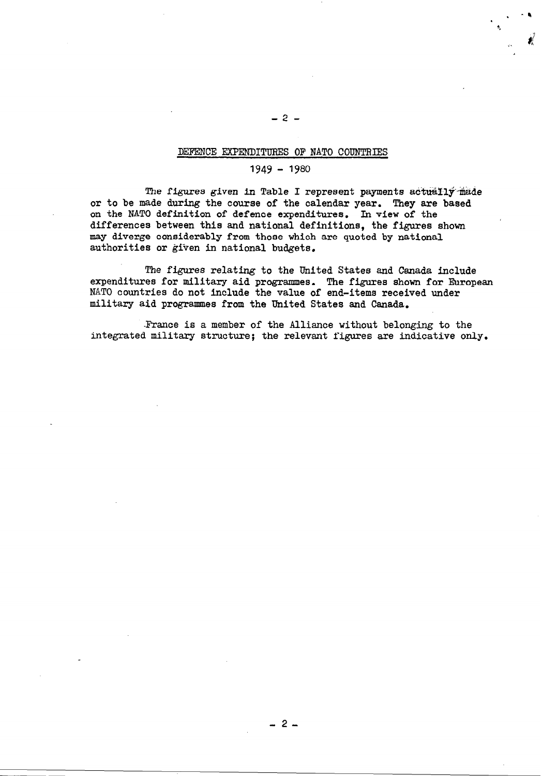#### DEFENCE EXPENDITURES OF NATO CODNTRLES

# 1949 - 1980

The figures given in Table I represent payments actually made or to be made during the course of the calendar year. They are based on the NATO definition of defence expenditures. In view of the differences between this and national definitions, the figures shown ' may diverge considerably from those which are quoted by national authorities or given in national budgets.

The figures relating to the United States and Canada include expenditures for military aid programmes. The figures shown for European NATO countries do not include the value of end-items received under military aid programmes from the United States and Canada.

-France is a member of the Alliance without belonging to the integrated military structure; the relevant figures are indicative only.

-2-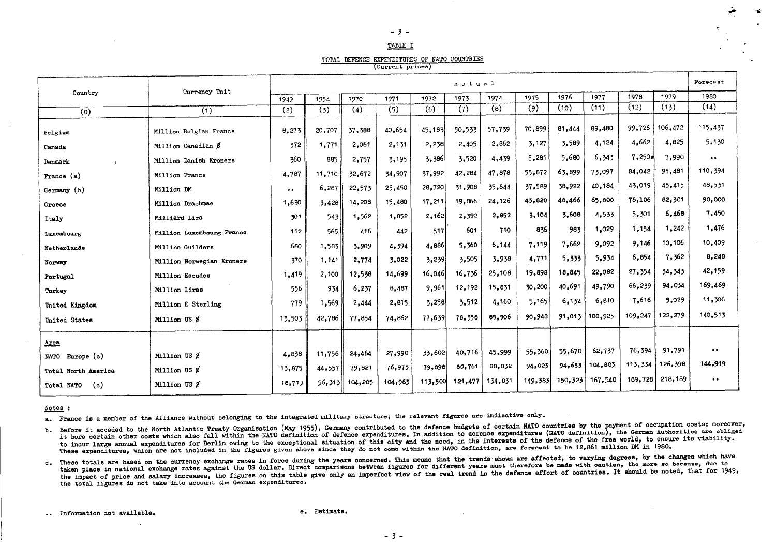# TABLE I

TOTAL DEFENCE EXPENDITURES OF NATO COUNTRIES

(Current prices)

|                                     |                           | Actual              |        |                |         |         |         |         |         |         |         |         |         | Forecast                                      |
|-------------------------------------|---------------------------|---------------------|--------|----------------|---------|---------|---------|---------|---------|---------|---------|---------|---------|-----------------------------------------------|
| Country                             | Currency Unit             | 1949                | 1954   | 1970           | 1971    | 1972    | 1973    | 1974    | 1975    | 1976    | 1977    | 1978    | 1979    | 1980                                          |
| (0)                                 | (1)                       | (2)                 | (3)    | (4)            | (5)     | (6)     | (7)     | (8)     | (9)     | (10)    | (11)    | (12)    | (13)    | (14)                                          |
| Belgium                             | Million Belgian Francs    | 8,273               | 20,707 | 37,388         | 40.654  | 45.183  | 50,533  | 57,739  | 70,899  | 81,444  | 89,480  | 99,726  | 106,472 | 115,437                                       |
| Canada                              | Million Canadian \$       | 372                 | 1,771  | 2,061          | 2,131   | 2,238   | 2,405   | 2,862   | 3,127   | 3,589   | 4,124   | 4,662   | 4,825   | 5,130                                         |
| Denmark<br>$\overline{\phantom{a}}$ | Million Danish Kroners    | 360                 | 885    | 2,757          | 3,195   | 3,386   | 3,520   | 4,439   | 5,281   | 5,680   | 6,343   | 7,250e  | 7,990   | $\bullet$ $\bullet$                           |
| France (a)                          | Million France            | 4,787               | 11,710 | 32,672         | 34,907  | 37,992  | 42,284  | 47,878  | 55.872  | 63.899  | 73,097  | 84,042  | 95,481  | 110,394                                       |
| Germany (b)                         | Million DM                | $\bullet$ $\bullet$ | 6,287  | 22,573         | 25,450  | 28,720  | 31,908  | 35,644  | 37.589  | 38,922  | 40,184  | 43,019  | 45,415  | 48,531                                        |
| Greece                              | Million Drachmae          | 1,630               | 3,428  | 14,208         | 15,480  | 17,211  | 19,866  | 24,126  | 43,820  | 48,466  | 65,800  | 76,106  | 82,301  | 90,000                                        |
| Italy                               | Milliard Lira             | 301                 | 543    | 1,562          | 1,852   | 2,162   | 2,392   | 2,852   | 3,104   | 3.608   | 4.533   | 5,301   | 6,468   | 7.450                                         |
| Luxembourg                          | Million Luxembourg France | 112                 | 565    | 416            | 442     | 517     | 601     | 710     | 836     | 983     | 1,029   | 1,154   | 1,242   | 1,476                                         |
| Netherlands                         | Million Guilders          | 680                 | 1,583  | 3.909          | 4,394   | 4,886   | 5,360   | 6,144   | 7,119   | 7,662   | 9.092   | 9,146   | 10,106  | 10,409                                        |
| Norway                              | Million Norwegian Kroners | 370                 | 1,141  | 2,774          | 3,022   | 3,239   | 3,505   | 3,938   | 4,771   | 5,333   | 5,934   | 6,854   | 7,362   | 8,248                                         |
| Portugal                            | Million Escudos           | 1,419               | 2,100  | 12,538         | 14,699  | 16,046  | 16,736  | 25,108  | 19,898  | 18,845  | 22,082  | 27,354  | 34,343  | 42,159                                        |
| Turkey                              | Million Liras             | 556                 | 934    | 6,237          | 8,487   | 9,961   | 12,192  | 15,831  | 30,200  | 40,691  | 49.790  | 66,239  | 94,034  | 169,469                                       |
| United Kingdom                      | Million f. Sterling       | 779                 | 1,569  | 2,444          | 2,815   | 3,258   | 3,512   | 4,160   | 5,165   | 6,132   | 6,810   | 7,616   | 9,029   | 11,306                                        |
| United States                       | Million US \$             | 13,503              | 42,786 | 77,854         | 74,862  | 77,639  | 78,358  | 85,906  | 90.948  | 91,013  | 100.925 | 109,247 | 122,279 | 140,513                                       |
| Area                                |                           |                     |        |                |         |         |         |         |         |         |         |         |         |                                               |
| Europe (c)<br><b>NATO</b>           | Million US &              | 4,838               | 11,756 | 24,464         | 27,990  | 33,602  | 40,716  | 45,999  | 55,360  | 55,670  | 62,737  | 76,394  | 91,791  | $\bullet\hspace{0.1cm} \bullet\hspace{0.1cm}$ |
| Total North America                 | Million US &              | 13,875              | 44,557 | 79,821         | 76,973  | 79,898  | 80,761  | 88,832  | 94,023  | 94,653  | 104,803 | 113,334 | 126,398 | 144,919                                       |
| (c)<br>Total NATO                   | Million US &              | 18,713              |        | 56,313 104,285 | 104,963 | 113,500 | 121,477 | 134,831 | 149,383 | 150,323 | 167,540 | 189,728 | 218,189 | $\bullet$ $\bullet$                           |

#### Notes :

a. France is a member of the Alliance without belonging to the integrated military structure; the relevant figures are indicative only.

b. Before it acceded to the North Atlantic Treaty Organisation (May 1955), Germany contributed to the defence budgets of certain NATO countries by the payment of occupation costs; moreover, it bore certain other costs which also fall within the NATO definition of defence expenditures. In addition to defence expenditures (NATO definition), the German Authorities are obliged to incur large annual expenditures for Berlin owing to the exceptional situation of this city and the need, in the interests of the defence of the free world, to ensure its viability. These expenditures, which are not included in the figures given above since they do not come within the NATO definition, are forecast to be 12,861 million DM in 1980.

c. These totals are based on the currency exchange rates in force during the years concerned. This means that the trends shown are affected, to varying degrees, by the changes which have taken place in national exchange rates against the US dollar. Direct comparisons between figures for different years must therefore be made with caution, the more so because, due to the impact of price and salary increases, the figures on this table give only an imperfect view of the real trend in the defence effort of countries. It should be noted, that for 1949, the total figures do not take into account the German expenditures.

.. Information not available.

e. Estimate.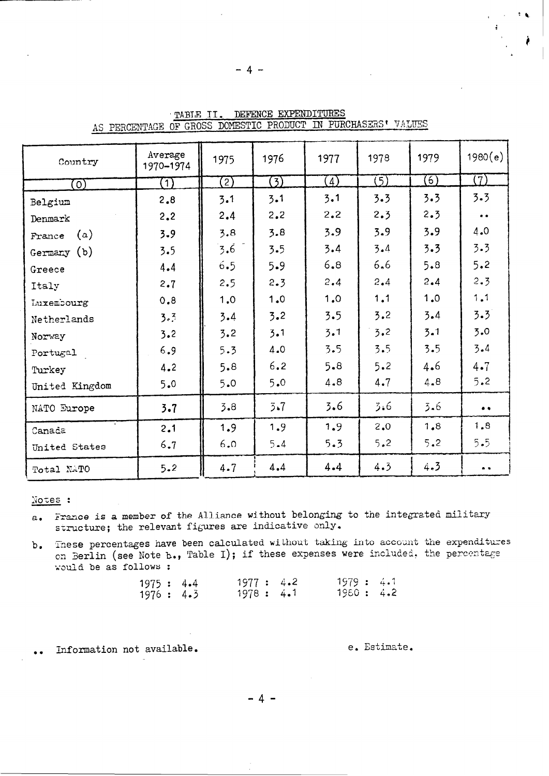| Country           | Average<br>1970-1974 | 1975 | 1976    | 1977    | 1978             | 1979             | 1980(e)             |
|-------------------|----------------------|------|---------|---------|------------------|------------------|---------------------|
| $\left( 0\right)$ | $\left(1\right)$     | 2)   | (3)     | (4)     | $\overline{(5)}$ | $\mathcal{F}(6)$ | $(\overline{7})$    |
| Belgium           | 2,8                  | 3.1  | 3.1     | 3.1     | 3.3              | 3.3              | 3.3                 |
| Denmark           | 2.2                  | 2.4  | 2.2     | 2.2     | 2.3              | 2.3              | $\bullet\; \bullet$ |
| (a)<br>France     | 3.9                  | 3.8  | 3.8     | 3.9     | 3.9              | 3.9              | 4.0                 |
| Germany (b)       | 3.5                  | 3.6  | 3.5     | 3.4     | 3.4              | 3.3              | 3.3                 |
| Greece            | 4.4                  | 6.5  | 5.9     | 6.8     | 6.6              | 5.8              | 5.2                 |
| Italy             | 2.7                  | 2.5  | 2.3     | 2.4     | 2.4              | 2.4              | 2.3                 |
| Luxembourg        | 0.8                  | 1.0  | 1.0     | 1.0     | 1.1              | 1.0              | 1.1                 |
| Netherlands       | 3.3                  | 3.4  | 3.2     | 3.5     | 3.2              | 3.4              | 3.3                 |
| Norway            | 3.2                  | 3.2  | 3.1     | 3.1     | 3.2              | 3.1              | 5.0                 |
| Portugal          | 6.9                  | 5.3  | 4.0     | 3.5     | 3.5              | 3.5              | 3.4                 |
| Turkey            | 4.2                  | 5.8  | 6.2     | 5.8     | 5.2              | 4.6              | 4.7                 |
| United Kingdom    | 5.0                  | 5.0  | 5.0     | 4.8     | 4.7              | 4.8              | 5.2                 |
| NATO Europe       | $3 - 7$              | 3.8  | 3.7     | 3.6     | 3.6              | 3.6              | $\bullet\bullet$    |
| Canada            | 2.1                  | 1.9  | 1.9     | 1.9     | 2.0              | 1.8              | 1.8                 |
| United States     | 6.7                  | 6.0  | $5 - 4$ | 5.3     | 5.2              | 5.2              | 5.5                 |
| Total NATO        | 5.2                  | 4.7  | 4.4     | $4 - 4$ | 4.3              | 4.3              | $\bullet$           |

TABLE II. DEFENCE EXPENDITURES AS PERCENTAGE OF GROSS DOMESTIC PRODUCT IN PURCHASERS' VALUES

 $-4-$ 

# Notes :

- France is a member of the Alliance without belonging to the integrated military  $a_{\bullet}$ structure; the relevant figures are indicative only.
- b. These percentages have been calculated without taking into account the expenditures on Berlin (see Note b., Table I); if these expenses were included, the percentage would be as follows :

| 1975: 4.4  |  | 1977:4.2  |  | 1979 : 4.1 |  |
|------------|--|-----------|--|------------|--|
| 1976 : 4.3 |  | 1978: 4.1 |  | 1960: 4.2  |  |

Information not available.  $\ddot{\bullet}$ 

### e. Estimate.

 $\mathcal{F}(\mathbf{q})$ 

 $-4 -$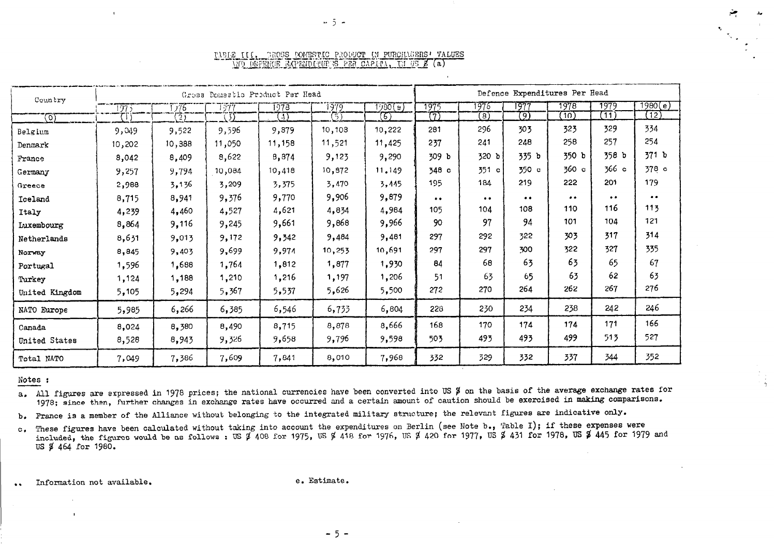| Country        |              |        | Gross Domestic Product Per Head                                                                                  | Defence Expenditures Per Head |         |         |                     |                     |                     |       |           |                    |
|----------------|--------------|--------|------------------------------------------------------------------------------------------------------------------|-------------------------------|---------|---------|---------------------|---------------------|---------------------|-------|-----------|--------------------|
|                | 1975         | -776   | 1377                                                                                                             | 1978                          | 1979    | (इ) 950 | 1975                | 1975                | 1977                | 1978  | 1979      | 1980(e)            |
| ত্যে           | $\mathbb{G}$ | 2)     | $\mathfrak{D}% _{T}=\mathfrak{D}_{T}\!\left( a,b\right) ,\mathfrak{D}_{T}=\mathfrak{D}_{T}\!\left( a,b\right) ,$ | A                             | 31      | ඟ       | 7)                  | $\left( 8\right)$   | (9                  | (10)  | (11)      | (12)               |
| Belgium        | 9,049        | 9,522  | 9,596                                                                                                            | 9,879                         | 10,103  | 10,222  | 281                 | 296                 | 303                 | 323   | 329       | 334                |
| Denmark        | 10,202       | 10,388 | 11,050                                                                                                           | 11,158                        | 11,521  | 11,425  | 237                 | 241                 | 248                 | 258   | 257       | 254                |
| France         | 8,042        | 8,409  | 8,622                                                                                                            | 8,874                         | 9,123   | 9,290   | 309 b               | 320 b               | 335 b               | 350 b | 358 b     | 371 b              |
| Germany        | 9,257        | 9,794  | 10,084                                                                                                           | 10,418                        | 10, 972 | 11.149  | 348 с               | 351 c               | 350 c               | 360c  | 366c      | 378 c              |
| Greece         | 2,988        | 3,136  | 3,209                                                                                                            | 3,375                         | 3,470   | 3,445   | 195                 | 184                 | 219                 | 222   | 201       | 179                |
| Iceland        | 8,715        | 8,941  | 9,376                                                                                                            | 9,770                         | 9,906   | 9,879   | $\bullet$ $\bullet$ | $\bullet$ $\bullet$ | $\bullet$ $\bullet$ |       | $\bullet$ | $\bullet\;\bullet$ |
| Italy          | 4,239        | 4,460  | 4,527                                                                                                            | 4,621                         | 4,834   | 4,984   | 105                 | 104                 | 108                 | 110   | 116       | 113                |
| Luxembourg     | 8,864        | 9,116  | 9,245                                                                                                            | 9,661                         | 9,868   | 9,966   | 90                  | 97                  | 94                  | 101   | 104       | 121                |
| Netherlands    | 8,631        | 9,013  | 9,172                                                                                                            | 9,342                         | 9,484   | 9,481   | 297                 | 292                 | 322                 | 303   | 317       | 314                |
| Norway         | 8,845        | 9,403  | 9,699                                                                                                            | 9,974                         | 10,253  | 10,691  | 297                 | 297                 | 300                 | 322   | 327       | 335                |
| Portugal       | 1,596        | 1,688  | 1,764                                                                                                            | 1,812                         | 1,877   | 1,930   | 84                  | 68                  | 63                  | 63    | 65        | 67                 |
| Turkey         | 1,124        | 1,188  | 1,210                                                                                                            | 1,216                         | 1,197   | 1,206   | 51                  | 63                  | 65                  | 63    | 62        | 63                 |
| United Kingdom | 5,105        | 5,294  | 5,367                                                                                                            | 5,537                         | 5,626   | 5,500   | 272                 | 270                 | 264                 | 262   | 267       | 276                |
| NATO Europe    | 5,985        | 6,266  | 6,385                                                                                                            | 6,546                         | 6,733   | 6,804   | 228                 | 230                 | 234                 | 238   | 242       | 246                |
| Canada         | 8,024        | 8,380  | 8,490                                                                                                            | 8,715                         | 8,878   | 8,666   | 168                 | 170                 | 174                 | 174   | 171       | 166                |
| United States  | 8,528        | 8,943  | 9,326                                                                                                            | 9,658                         | 9,796   | 9,598   | 503                 | 493                 | 493                 | 499   | 513       | 527                |
| Total NATO     | 7,049        | 7,386  | 7,609                                                                                                            | 7,841                         | 8,010   | 7,968   | 332                 | 329                 | 332                 | 337   | 344       | 352                |

#### TABLE III, GROSS DOMESTIC PRODUCT IN PURCHASERS' VALUES WO DEFENCE AXPENDINGERS PER CAPIEL, IN US \$ (a)

#### Notes :

a. All figures are expressed in 1978 prices; the national currencies have been converted into US \$ on the basis of the average exchange rates for 1978; since then, further changes in exchange rates have occurred and a certain amount of caution should be exercised in making comparisons.

b. France is a member of the Alliance without belonging to the integrated military structure; the relevant figures are indicative only.

c. These figures have been calculated without taking into account the expenditures on Berlin (see Note b., Table I); if these expenses were<br>included, the figures would be as follows: US \$ 408 for 1975, US \$ 418 for 1976, U US \$ 464 for 1980.

Information not available.  $\bullet\bullet$ 

 $\mathbf{I}$ 

e. Estimate.

 $-5 -$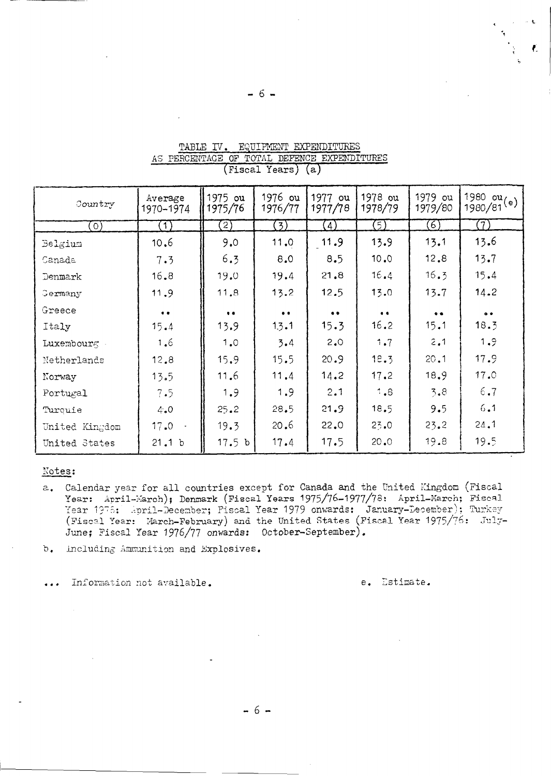| Country        | Average<br>1970-1974 | 1975 ou<br>1975/76 | 1976 ou<br>1976/77  | 1977<br>ou<br>1977/78 | 1978 ou<br>1978/79  | 1979 ou<br>1979/80 | $\frac{1980}{1980}/81$ <sup>(e)</sup> |
|----------------|----------------------|--------------------|---------------------|-----------------------|---------------------|--------------------|---------------------------------------|
| $\circ$        | (1)                  | $\left[2\right)$   | (3)                 | $\left(4\right)$      | (5)                 | (6)                | (7)                                   |
| Belgium        | 10.6                 | 9.0                | 11.0                | 11.9                  | 13.9                | 13.1               | 13.6                                  |
| Canada         | 7.3                  | 6.3                | 8.0                 | 8.5                   | 10.0                | 12.8               | 13.7                                  |
| Denmark        | 16, 8                | 19.0               | 19.4                | 21.8                  | 16.4                | 16.3               | 15.4                                  |
| Germany        | 11.9                 | 11.8               | 13.2                | 12.5                  | 13.0                | 13.7               | 14.2                                  |
| Greece         | $\bullet$            | $\bullet$          | $\bullet$ $\bullet$ | $\bullet\bullet$      | $\bullet$ $\bullet$ | $\bullet$          | $^{\circ}$                            |
| Italy          | 15.4                 | 13.9               | 1.3.1               | 15.3                  | 16.2                | 15.1               | 18.3                                  |
| Luxembourg     | 1.6                  | 1.0                | 3.4                 | 2.0                   | 1.7                 | 2,1                | 1.9                                   |
| Netherlands    | 12,8                 | 15.9               | 15.5                | 20.9                  | 18.3                | 20.1               | 17.9                                  |
| Norway         | 13.5                 | 11.6               | 11.4                | 14.2                  | 17.2                | 18.9               | 17.0                                  |
| Portugal       | 7.5                  | 1.9                | 1.9                 | 2.1                   | 1.8                 | 3.8                | 6.7                                   |
| Turquie        | 4.0                  | 25.2               | 28.5                | 21.9                  | 18.5                | 9.5                | 6.1                                   |
| United Kingdom | 17.0                 | 19.3               | 20.6                | 22.0                  | 23.0                | 23.2               | 24.1                                  |
| United States  | 21.1 b               | 17.5 <sub>b</sub>  | 17.4                | 17.5                  | 20.0                | 19.8               | 19.5                                  |

# TABLE IV. EQUIPMENT EXPENDITURES AS PERCENTAGE OF TOTAL DEFENCE EXPENDITURES (Fiscal Years) (a)

## Notes:

a. Calendar year for all countries except for Canada and the United Kingdom (Fiscal Year: April-March); Denmark (Fiscal Years 1975/76-1977/78: April-March; Fiscal Year 1978: April-December; Fiscal Year 1979 onwards: January-December); Turkey (Fiscal Year: March-February) and the United States (Fiscal Year 1975/76: July-June; Fiscal Year 1976/77 onwards: October-September).

 $b.$ Including Ammunition and Explosives.

Information not available.  $\overline{a}$ 

e. Estimate.

 $-6-$